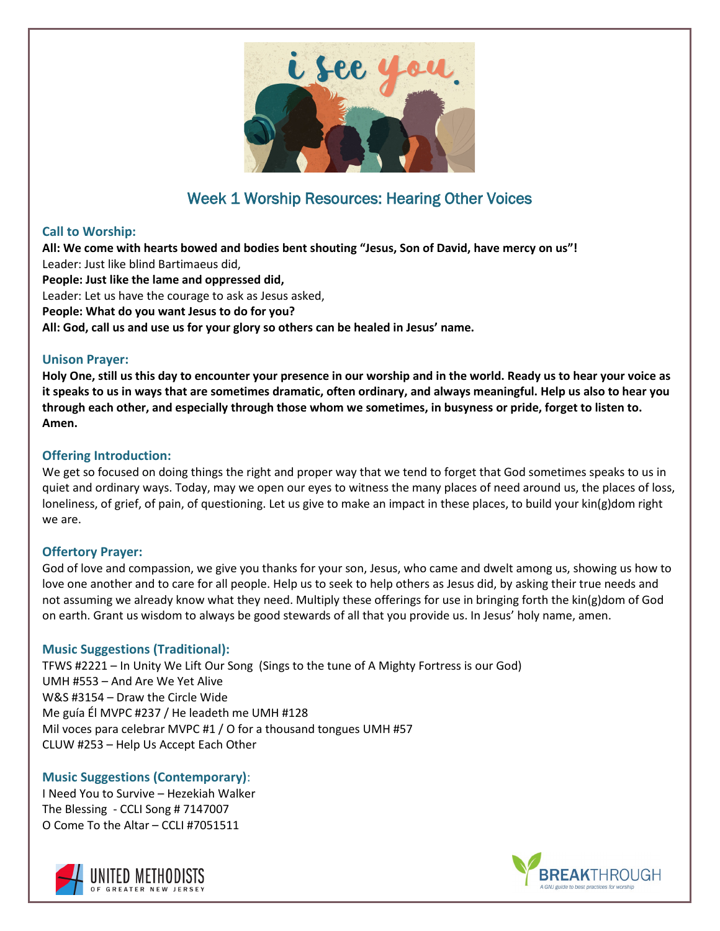

# Week 1 Worship Resources: Hearing Other Voices

# **Call to Worship:**

**All: We come with hearts bowed and bodies bent shouting "Jesus, Son of David, have mercy on us"!** Leader: Just like blind Bartimaeus did,

**People: Just like the lame and oppressed did,**

Leader: Let us have the courage to ask as Jesus asked,

**People: What do you want Jesus to do for you?**

**All: God, call us and use us for your glory so others can be healed in Jesus' name.**

# **Unison Prayer:**

**Holy One, still us this day to encounter your presence in our worship and in the world. Ready us to hear your voice as it speaks to us in ways that are sometimes dramatic, often ordinary, and always meaningful. Help us also to hear you through each other, and especially through those whom we sometimes, in busyness or pride, forget to listen to. Amen.** 

# **Offering Introduction:**

We get so focused on doing things the right and proper way that we tend to forget that God sometimes speaks to us in quiet and ordinary ways. Today, may we open our eyes to witness the many places of need around us, the places of loss, loneliness, of grief, of pain, of questioning. Let us give to make an impact in these places, to build your kin(g)dom right we are.

# **Offertory Prayer:**

God of love and compassion, we give you thanks for your son, Jesus, who came and dwelt among us, showing us how to love one another and to care for all people. Help us to seek to help others as Jesus did, by asking their true needs and not assuming we already know what they need. Multiply these offerings for use in bringing forth the kin(g)dom of God on earth. Grant us wisdom to always be good stewards of all that you provide us. In Jesus' holy name, amen.

# **Music Suggestions (Traditional):**

TFWS #2221 – In Unity We Lift Our Song (Sings to the tune of A Mighty Fortress is our God) UMH #553 – And Are We Yet Alive W&S #3154 – Draw the Circle Wide Me guía Él MVPC #237 / He leadeth me UMH #128 Mil voces para celebrar MVPC #1 / O for a thousand tongues UMH #57 CLUW #253 – Help Us Accept Each Other

# **Music Suggestions (Contemporary)**:

I Need You to Survive – Hezekiah Walker The Blessing - CCLI Song # 7147007 O Come To the Altar – CCLI #7051511



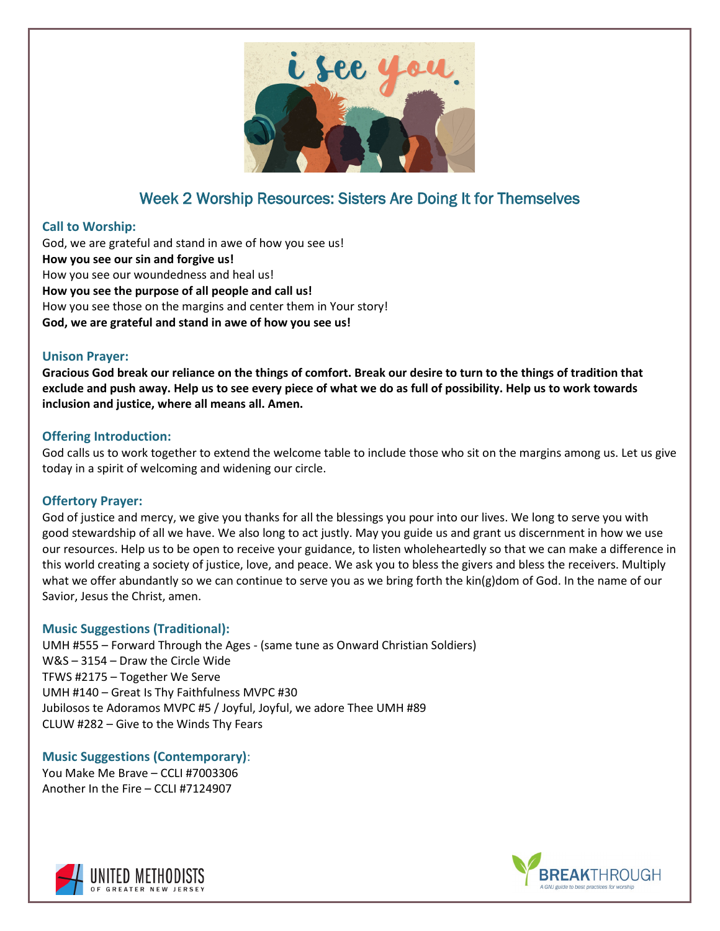

# Week 2 Worship Resources: Sisters Are Doing It for Themselves

#### **Call to Worship:**

God, we are grateful and stand in awe of how you see us! **How you see our sin and forgive us!** How you see our woundedness and heal us! **How you see the purpose of all people and call us!** How you see those on the margins and center them in Your story! **God, we are grateful and stand in awe of how you see us!**

# **Unison Prayer:**

**Gracious God break our reliance on the things of comfort. Break our desire to turn to the things of tradition that exclude and push away. Help us to see every piece of what we do as full of possibility. Help us to work towards inclusion and justice, where all means all. Amen.**

#### **Offering Introduction:**

God calls us to work together to extend the welcome table to include those who sit on the margins among us. Let us give today in a spirit of welcoming and widening our circle.

#### **Offertory Prayer:**

God of justice and mercy, we give you thanks for all the blessings you pour into our lives. We long to serve you with good stewardship of all we have. We also long to act justly. May you guide us and grant us discernment in how we use our resources. Help us to be open to receive your guidance, to listen wholeheartedly so that we can make a difference in this world creating a society of justice, love, and peace. We ask you to bless the givers and bless the receivers. Multiply what we offer abundantly so we can continue to serve you as we bring forth the kin(g)dom of God. In the name of our Savior, Jesus the Christ, amen.

# **Music Suggestions (Traditional):**

UMH #555 – Forward Through the Ages - (same tune as Onward Christian Soldiers) W&S – 3154 – Draw the Circle Wide TFWS #2175 – Together We Serve UMH #140 – Great Is Thy Faithfulness MVPC #30 Jubilosos te Adoramos MVPC #5 / Joyful, Joyful, we adore Thee UMH #89 CLUW #282 – Give to the Winds Thy Fears

**Music Suggestions (Contemporary)**: You Make Me Brave – CCLI #7003306 Another In the Fire – CCLI #7124907



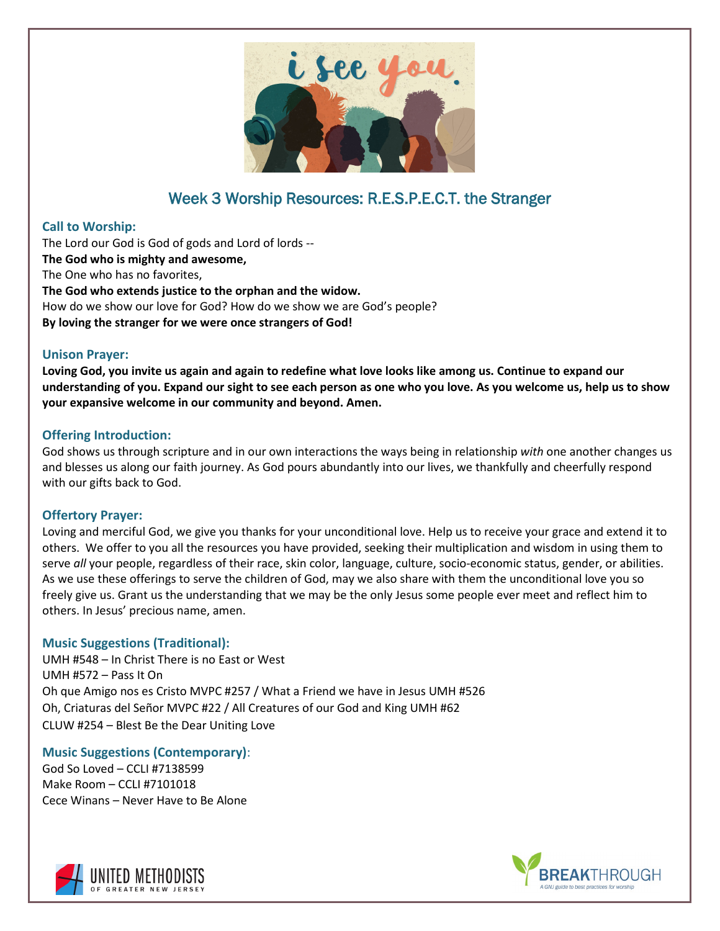

# Week 3 Worship Resources: R.E.S.P.E.C.T. the Stranger

#### **Call to Worship:**

The Lord our God is God of gods and Lord of lords -- **The God who is mighty and awesome,** The One who has no favorites, **The God who extends justice to the orphan and the widow.** How do we show our love for God? How do we show we are God's people? **By loving the stranger for we were once strangers of God!**

#### **Unison Prayer:**

**Loving God, you invite us again and again to redefine what love looks like among us. Continue to expand our understanding of you. Expand our sight to see each person as one who you love. As you welcome us, help us to show your expansive welcome in our community and beyond. Amen.**

#### **Offering Introduction:**

God shows us through scripture and in our own interactions the ways being in relationship *with* one another changes us and blesses us along our faith journey. As God pours abundantly into our lives, we thankfully and cheerfully respond with our gifts back to God.

#### **Offertory Prayer:**

Loving and merciful God, we give you thanks for your unconditional love. Help us to receive your grace and extend it to others. We offer to you all the resources you have provided, seeking their multiplication and wisdom in using them to serve *all* your people, regardless of their race, skin color, language, culture, socio-economic status, gender, or abilities. As we use these offerings to serve the children of God, may we also share with them the unconditional love you so freely give us. Grant us the understanding that we may be the only Jesus some people ever meet and reflect him to others. In Jesus' precious name, amen.

# **Music Suggestions (Traditional):**

UMH #548 – In Christ There is no East or West UMH #572 – Pass It On Oh que Amigo nos es Cristo MVPC #257 / What a Friend we have in Jesus UMH #526 Oh, Criaturas del Señor MVPC #22 / All Creatures of our God and King UMH #62 CLUW #254 – Blest Be the Dear Uniting Love

# **Music Suggestions (Contemporary)**:

God So Loved – CCLI #7138599 Make Room – CCLI #7101018 Cece Winans – Never Have to Be Alone